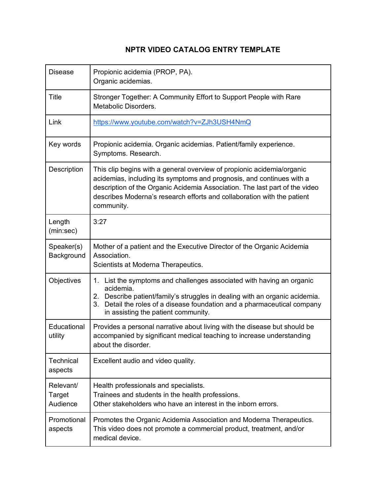## **NPTR VIDEO CATALOG ENTRY TEMPLATE**

| <b>Disease</b>                  | Propionic acidemia (PROP, PA).<br>Organic acidemias.                                                                                                                                                                                                                                                                    |
|---------------------------------|-------------------------------------------------------------------------------------------------------------------------------------------------------------------------------------------------------------------------------------------------------------------------------------------------------------------------|
| <b>Title</b>                    | Stronger Together: A Community Effort to Support People with Rare<br>Metabolic Disorders.                                                                                                                                                                                                                               |
| Link                            | https://www.youtube.com/watch?v=ZJh3USH4NmQ                                                                                                                                                                                                                                                                             |
| Key words                       | Propionic acidemia. Organic acidemias. Patient/family experience.<br>Symptoms. Research.                                                                                                                                                                                                                                |
| Description                     | This clip begins with a general overview of propionic acidemia/organic<br>acidemias, including its symptoms and prognosis, and continues with a<br>description of the Organic Acidemia Association. The last part of the video<br>describes Moderna's research efforts and collaboration with the patient<br>community. |
| Length<br>(min:sec)             | 3:27                                                                                                                                                                                                                                                                                                                    |
| Speaker(s)<br>Background        | Mother of a patient and the Executive Director of the Organic Acidemia<br>Association.<br>Scientists at Moderna Therapeutics.                                                                                                                                                                                           |
| Objectives                      | 1. List the symptoms and challenges associated with having an organic<br>acidemia.<br>2. Describe patient/family's struggles in dealing with an organic acidemia.<br>3. Detail the roles of a disease foundation and a pharmaceutical company<br>in assisting the patient community.                                    |
| Educational<br>utility          | Provides a personal narrative about living with the disease but should be<br>accompanied by significant medical teaching to increase understanding<br>about the disorder.                                                                                                                                               |
| Technical<br>aspects            | Excellent audio and video quality.                                                                                                                                                                                                                                                                                      |
| Relevant/<br>Target<br>Audience | Health professionals and specialists.<br>Trainees and students in the health professions.<br>Other stakeholders who have an interest in the inborn errors.                                                                                                                                                              |
| Promotional<br>aspects          | Promotes the Organic Acidemia Association and Moderna Therapeutics.<br>This video does not promote a commercial product, treatment, and/or<br>medical device.                                                                                                                                                           |